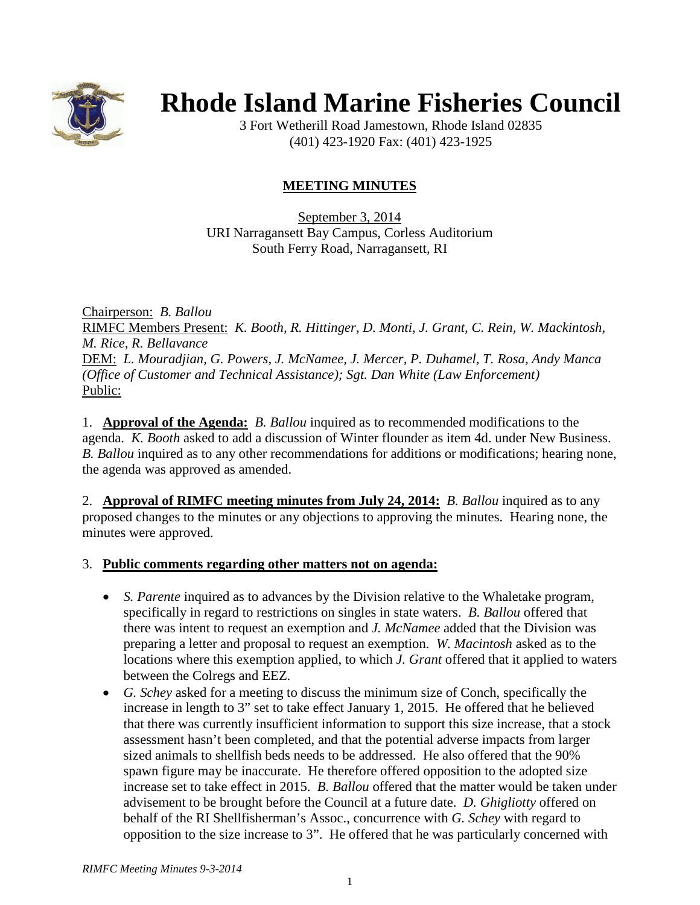

# **Rhode Island Marine Fisheries Council**

3 Fort Wetherill Road Jamestown, Rhode Island 02835 (401) 423-1920 Fax: (401) 423-1925

# **MEETING MINUTES**

September 3, 2014 URI Narragansett Bay Campus, Corless Auditorium South Ferry Road, Narragansett, RI

Chairperson: *B. Ballou* RIMFC Members Present: *K. Booth, R. Hittinger, D. Monti, J. Grant, C. Rein, W. Mackintosh, M. Rice, R. Bellavance* DEM: *L. Mouradjian, G. Powers, J. McNamee, J. Mercer, P. Duhamel, T. Rosa, Andy Manca (Office of Customer and Technical Assistance); Sgt. Dan White (Law Enforcement)* Public:

1. **Approval of the Agenda:** *B. Ballou* inquired as to recommended modifications to the agenda. *K. Booth* asked to add a discussion of Winter flounder as item 4d. under New Business. *B. Ballou* inquired as to any other recommendations for additions or modifications; hearing none, the agenda was approved as amended.

2. **Approval of RIMFC meeting minutes from July 24, 2014:** *B. Ballou* inquired as to any proposed changes to the minutes or any objections to approving the minutes. Hearing none, the minutes were approved.

## 3. **Public comments regarding other matters not on agenda:**

- *S. Parente* inquired as to advances by the Division relative to the Whaletake program, specifically in regard to restrictions on singles in state waters. *B. Ballou* offered that there was intent to request an exemption and *J. McNamee* added that the Division was preparing a letter and proposal to request an exemption. *W. Macintosh* asked as to the locations where this exemption applied, to which *J. Grant* offered that it applied to waters between the Colregs and EEZ.
- *G. Schey* asked for a meeting to discuss the minimum size of Conch, specifically the increase in length to 3" set to take effect January 1, 2015. He offered that he believed that there was currently insufficient information to support this size increase, that a stock assessment hasn't been completed, and that the potential adverse impacts from larger sized animals to shellfish beds needs to be addressed. He also offered that the 90% spawn figure may be inaccurate. He therefore offered opposition to the adopted size increase set to take effect in 2015. *B. Ballou* offered that the matter would be taken under advisement to be brought before the Council at a future date. *D. Ghigliotty* offered on behalf of the RI Shellfisherman's Assoc., concurrence with *G. Schey* with regard to opposition to the size increase to 3". He offered that he was particularly concerned with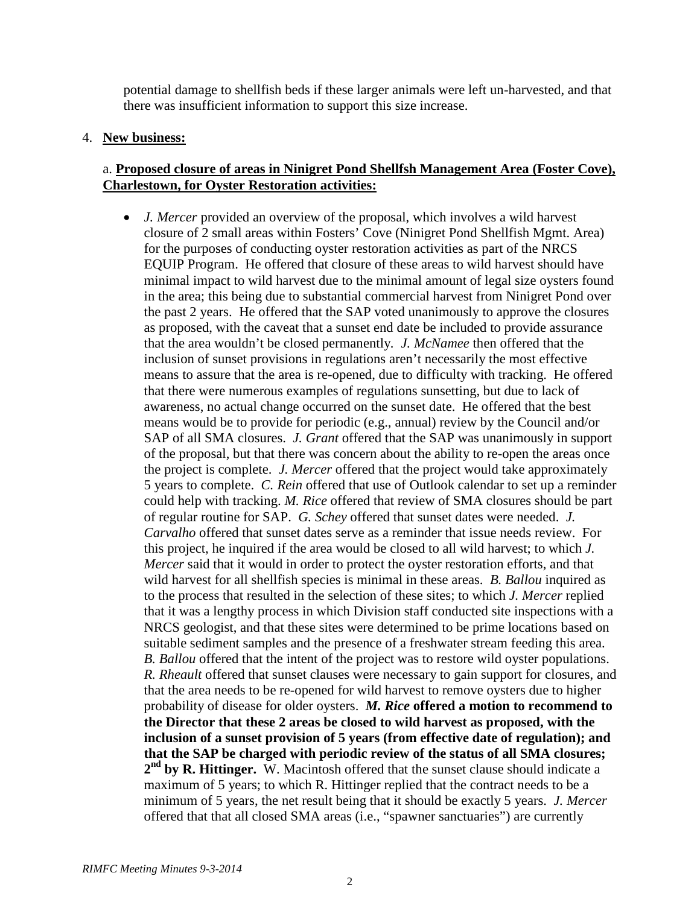potential damage to shellfish beds if these larger animals were left un-harvested, and that there was insufficient information to support this size increase.

#### 4. **New business:**

## a. **Proposed closure of areas in Ninigret Pond Shellfsh Management Area (Foster Cove), Charlestown, for Oyster Restoration activities:**

• *J. Mercer* provided an overview of the proposal, which involves a wild harvest closure of 2 small areas within Fosters' Cove (Ninigret Pond Shellfish Mgmt. Area) for the purposes of conducting oyster restoration activities as part of the NRCS EQUIP Program. He offered that closure of these areas to wild harvest should have minimal impact to wild harvest due to the minimal amount of legal size oysters found in the area; this being due to substantial commercial harvest from Ninigret Pond over the past 2 years. He offered that the SAP voted unanimously to approve the closures as proposed, with the caveat that a sunset end date be included to provide assurance that the area wouldn't be closed permanently*. J. McNamee* then offered that the inclusion of sunset provisions in regulations aren't necessarily the most effective means to assure that the area is re-opened, due to difficulty with tracking. He offered that there were numerous examples of regulations sunsetting, but due to lack of awareness, no actual change occurred on the sunset date. He offered that the best means would be to provide for periodic (e.g., annual) review by the Council and/or SAP of all SMA closures. *J. Grant* offered that the SAP was unanimously in support of the proposal, but that there was concern about the ability to re-open the areas once the project is complete. *J. Mercer* offered that the project would take approximately 5 years to complete. *C. Rein* offered that use of Outlook calendar to set up a reminder could help with tracking. *M. Rice* offered that review of SMA closures should be part of regular routine for SAP. *G. Schey* offered that sunset dates were needed. *J. Carvalho* offered that sunset dates serve as a reminder that issue needs review. For this project, he inquired if the area would be closed to all wild harvest; to which *J. Mercer* said that it would in order to protect the oyster restoration efforts, and that wild harvest for all shellfish species is minimal in these areas. *B. Ballou* inquired as to the process that resulted in the selection of these sites; to which *J. Mercer* replied that it was a lengthy process in which Division staff conducted site inspections with a NRCS geologist, and that these sites were determined to be prime locations based on suitable sediment samples and the presence of a freshwater stream feeding this area. *B. Ballou* offered that the intent of the project was to restore wild oyster populations. *R. Rheault* offered that sunset clauses were necessary to gain support for closures, and that the area needs to be re-opened for wild harvest to remove oysters due to higher probability of disease for older oysters. *M. Rice* **offered a motion to recommend to the Director that these 2 areas be closed to wild harvest as proposed, with the inclusion of a sunset provision of 5 years (from effective date of regulation); and that the SAP be charged with periodic review of the status of all SMA closures; 2nd by R. Hittinger.** W. Macintosh offered that the sunset clause should indicate a maximum of 5 years; to which R. Hittinger replied that the contract needs to be a minimum of 5 years, the net result being that it should be exactly 5 years. *J. Mercer* offered that that all closed SMA areas (i.e., "spawner sanctuaries") are currently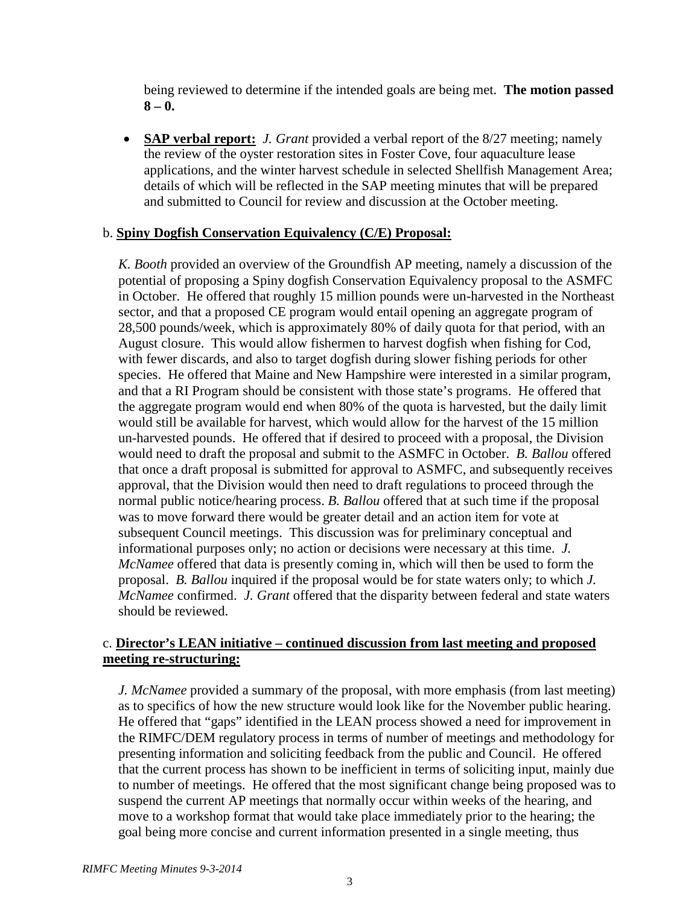being reviewed to determine if the intended goals are being met. **The motion passed 8 – 0.**

• **SAP verbal report:** *J. Grant* provided a verbal report of the 8/27 meeting; namely the review of the oyster restoration sites in Foster Cove, four aquaculture lease applications, and the winter harvest schedule in selected Shellfish Management Area; details of which will be reflected in the SAP meeting minutes that will be prepared and submitted to Council for review and discussion at the October meeting.

#### b. **Spiny Dogfish Conservation Equivalency (C/E) Proposal:**

*K. Booth* provided an overview of the Groundfish AP meeting, namely a discussion of the potential of proposing a Spiny dogfish Conservation Equivalency proposal to the ASMFC in October. He offered that roughly 15 million pounds were un-harvested in the Northeast sector, and that a proposed CE program would entail opening an aggregate program of 28,500 pounds/week, which is approximately 80% of daily quota for that period, with an August closure. This would allow fishermen to harvest dogfish when fishing for Cod, with fewer discards, and also to target dogfish during slower fishing periods for other species. He offered that Maine and New Hampshire were interested in a similar program, and that a RI Program should be consistent with those state's programs. He offered that the aggregate program would end when 80% of the quota is harvested, but the daily limit would still be available for harvest, which would allow for the harvest of the 15 million un-harvested pounds. He offered that if desired to proceed with a proposal, the Division would need to draft the proposal and submit to the ASMFC in October. *B. Ballou* offered that once a draft proposal is submitted for approval to ASMFC, and subsequently receives approval, that the Division would then need to draft regulations to proceed through the normal public notice/hearing process. *B. Ballou* offered that at such time if the proposal was to move forward there would be greater detail and an action item for vote at subsequent Council meetings. This discussion was for preliminary conceptual and informational purposes only; no action or decisions were necessary at this time. *J. McNamee* offered that data is presently coming in, which will then be used to form the proposal. *B. Ballou* inquired if the proposal would be for state waters only; to which *J. McNamee* confirmed. *J. Grant* offered that the disparity between federal and state waters should be reviewed.

## c. **Director's LEAN initiative – continued discussion from last meeting and proposed meeting re-structuring:**

*J. McNamee* provided a summary of the proposal, with more emphasis (from last meeting) as to specifics of how the new structure would look like for the November public hearing. He offered that "gaps" identified in the LEAN process showed a need for improvement in the RIMFC/DEM regulatory process in terms of number of meetings and methodology for presenting information and soliciting feedback from the public and Council. He offered that the current process has shown to be inefficient in terms of soliciting input, mainly due to number of meetings. He offered that the most significant change being proposed was to suspend the current AP meetings that normally occur within weeks of the hearing, and move to a workshop format that would take place immediately prior to the hearing; the goal being more concise and current information presented in a single meeting, thus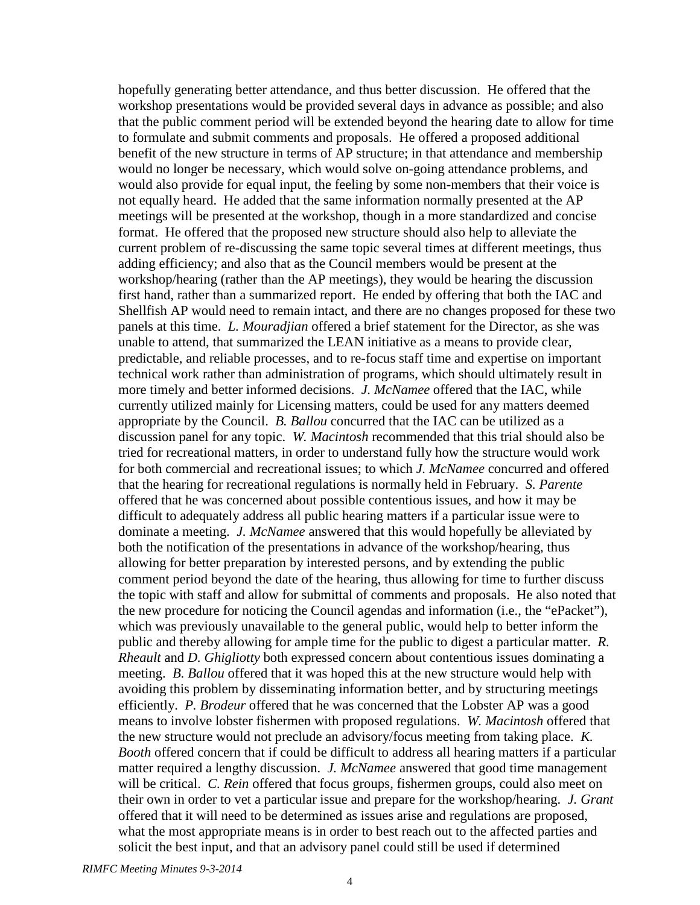hopefully generating better attendance, and thus better discussion. He offered that the workshop presentations would be provided several days in advance as possible; and also that the public comment period will be extended beyond the hearing date to allow for time to formulate and submit comments and proposals. He offered a proposed additional benefit of the new structure in terms of AP structure; in that attendance and membership would no longer be necessary, which would solve on-going attendance problems, and would also provide for equal input, the feeling by some non-members that their voice is not equally heard. He added that the same information normally presented at the AP meetings will be presented at the workshop, though in a more standardized and concise format. He offered that the proposed new structure should also help to alleviate the current problem of re-discussing the same topic several times at different meetings, thus adding efficiency; and also that as the Council members would be present at the workshop/hearing (rather than the AP meetings), they would be hearing the discussion first hand, rather than a summarized report. He ended by offering that both the IAC and Shellfish AP would need to remain intact, and there are no changes proposed for these two panels at this time. *L. Mouradjian* offered a brief statement for the Director, as she was unable to attend, that summarized the LEAN initiative as a means to provide clear, predictable, and reliable processes, and to re-focus staff time and expertise on important technical work rather than administration of programs, which should ultimately result in more timely and better informed decisions. *J. McNamee* offered that the IAC, while currently utilized mainly for Licensing matters, could be used for any matters deemed appropriate by the Council. *B. Ballou* concurred that the IAC can be utilized as a discussion panel for any topic. *W. Macintosh* recommended that this trial should also be tried for recreational matters, in order to understand fully how the structure would work for both commercial and recreational issues; to which *J. McNamee* concurred and offered that the hearing for recreational regulations is normally held in February. *S. Parente* offered that he was concerned about possible contentious issues, and how it may be difficult to adequately address all public hearing matters if a particular issue were to dominate a meeting. *J. McNamee* answered that this would hopefully be alleviated by both the notification of the presentations in advance of the workshop/hearing, thus allowing for better preparation by interested persons, and by extending the public comment period beyond the date of the hearing, thus allowing for time to further discuss the topic with staff and allow for submittal of comments and proposals. He also noted that the new procedure for noticing the Council agendas and information (i.e., the "ePacket"), which was previously unavailable to the general public, would help to better inform the public and thereby allowing for ample time for the public to digest a particular matter. *R. Rheault* and *D. Ghigliotty* both expressed concern about contentious issues dominating a meeting. *B. Ballou* offered that it was hoped this at the new structure would help with avoiding this problem by disseminating information better, and by structuring meetings efficiently. *P. Brodeur* offered that he was concerned that the Lobster AP was a good means to involve lobster fishermen with proposed regulations. *W. Macintosh* offered that the new structure would not preclude an advisory/focus meeting from taking place. *K. Booth* offered concern that if could be difficult to address all hearing matters if a particular matter required a lengthy discussion. *J. McNamee* answered that good time management will be critical. *C. Rein* offered that focus groups, fishermen groups, could also meet on their own in order to vet a particular issue and prepare for the workshop/hearing. *J. Grant* offered that it will need to be determined as issues arise and regulations are proposed, what the most appropriate means is in order to best reach out to the affected parties and solicit the best input, and that an advisory panel could still be used if determined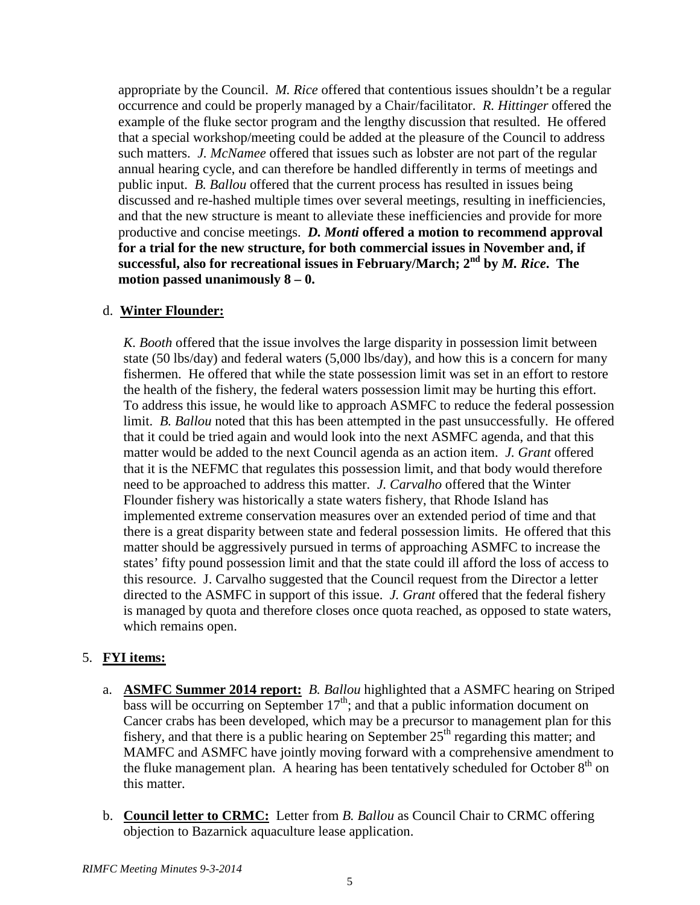appropriate by the Council. *M. Rice* offered that contentious issues shouldn't be a regular occurrence and could be properly managed by a Chair/facilitator. *R. Hittinger* offered the example of the fluke sector program and the lengthy discussion that resulted. He offered that a special workshop/meeting could be added at the pleasure of the Council to address such matters. *J. McNamee* offered that issues such as lobster are not part of the regular annual hearing cycle, and can therefore be handled differently in terms of meetings and public input. *B. Ballou* offered that the current process has resulted in issues being discussed and re-hashed multiple times over several meetings, resulting in inefficiencies, and that the new structure is meant to alleviate these inefficiencies and provide for more productive and concise meetings. *D. Monti* **offered a motion to recommend approval for a trial for the new structure, for both commercial issues in November and, if successful, also for recreational issues in February/March; 2nd by** *M. Rice***. The motion passed unanimously 8 – 0.**

## d. **Winter Flounder:**

*K. Booth* offered that the issue involves the large disparity in possession limit between state (50 lbs/day) and federal waters (5,000 lbs/day), and how this is a concern for many fishermen. He offered that while the state possession limit was set in an effort to restore the health of the fishery, the federal waters possession limit may be hurting this effort. To address this issue, he would like to approach ASMFC to reduce the federal possession limit. *B. Ballou* noted that this has been attempted in the past unsuccessfully. He offered that it could be tried again and would look into the next ASMFC agenda, and that this matter would be added to the next Council agenda as an action item. *J. Grant* offered that it is the NEFMC that regulates this possession limit, and that body would therefore need to be approached to address this matter. *J. Carvalho* offered that the Winter Flounder fishery was historically a state waters fishery, that Rhode Island has implemented extreme conservation measures over an extended period of time and that there is a great disparity between state and federal possession limits. He offered that this matter should be aggressively pursued in terms of approaching ASMFC to increase the states' fifty pound possession limit and that the state could ill afford the loss of access to this resource. J. Carvalho suggested that the Council request from the Director a letter directed to the ASMFC in support of this issue. *J. Grant* offered that the federal fishery is managed by quota and therefore closes once quota reached, as opposed to state waters, which remains open.

## 5. **FYI items:**

- a. **ASMFC Summer 2014 report:** *B. Ballou* highlighted that a ASMFC hearing on Striped bass will be occurring on September  $17<sup>th</sup>$ ; and that a public information document on Cancer crabs has been developed, which may be a precursor to management plan for this fishery, and that there is a public hearing on September  $25<sup>th</sup>$  regarding this matter; and MAMFC and ASMFC have jointly moving forward with a comprehensive amendment to the fluke management plan. A hearing has been tentatively scheduled for October  $8<sup>th</sup>$  on this matter.
- b. **Council letter to CRMC:** Letter from *B. Ballou* as Council Chair to CRMC offering objection to Bazarnick aquaculture lease application.